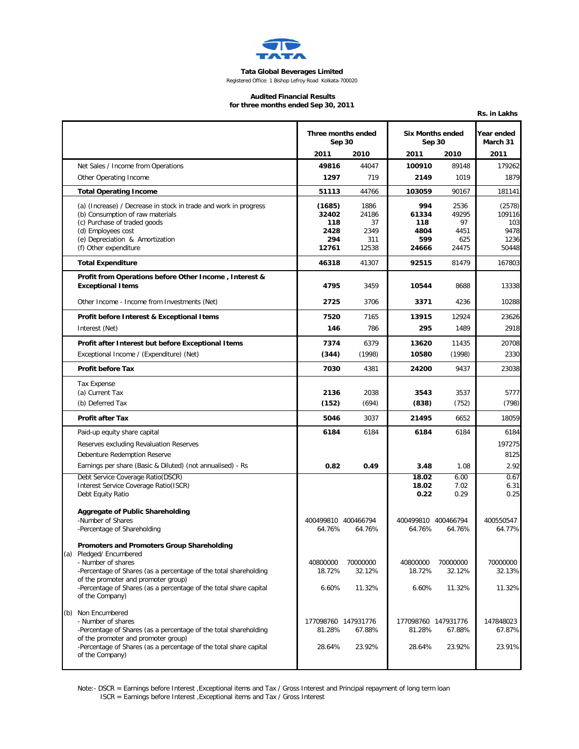

**Tata Global Beverages Limited**

Registered Office: 1 Bishop Lefroy Road Kolkata-700020

## **Audited Financial Results**

**for three months ended Sep 30, 2011**

|     |                                                                                                          |                              |              |                                   |              | Rs. in Lakhs           |
|-----|----------------------------------------------------------------------------------------------------------|------------------------------|--------------|-----------------------------------|--------------|------------------------|
|     |                                                                                                          | Three months ended<br>Sep 30 |              | <b>Six Months ended</b><br>Sep 30 |              | Year ended<br>March 31 |
|     |                                                                                                          | 2011                         | 2010         | 2011                              | 2010         | 2011                   |
|     | Net Sales / Income from Operations                                                                       | 49816                        | 44047        | 100910                            | 89148        | 179262                 |
|     | Other Operating Income                                                                                   | 1297                         | 719          | 2149                              | 1019         | 1879                   |
|     | <b>Total Operating Income</b>                                                                            | 51113                        | 44766        | 103059                            | 90167        | 181141                 |
|     | (a) (Increase) / Decrease in stock in trade and work in progress                                         | (1685)                       | 1886         | 994                               | 2536         | (2578)                 |
|     | (b) Consumption of raw materials<br>(c) Purchase of traded goods                                         | 32402<br>118                 | 24186<br>37  | 61334<br>118                      | 49295<br>97  | 109116<br>103          |
|     | (d) Employees cost                                                                                       | 2428                         | 2349         | 4804                              | 4451         | 9478                   |
|     | (e) Depreciation & Amortization<br>(f) Other expenditure                                                 | 294<br>12761                 | 311<br>12538 | 599<br>24666                      | 625<br>24475 | 1236<br>50448          |
|     |                                                                                                          |                              |              |                                   |              |                        |
|     | <b>Total Expenditure</b>                                                                                 | 46318                        | 41307        | 92515                             | 81479        | 167803                 |
|     | Profit from Operations before Other Income, Interest &<br><b>Exceptional Items</b>                       | 4795                         | 3459         | 10544                             | 8688         | 13338                  |
|     | Other Income - Income from Investments (Net)                                                             | 2725                         | 3706         | 3371                              | 4236         | 10288                  |
|     | Profit before Interest & Exceptional Items                                                               | 7520                         | 7165         | 13915                             | 12924        | 23626                  |
|     | Interest (Net)                                                                                           | 146                          | 786          | 295                               | 1489         | 2918                   |
|     | Profit after Interest but before Exceptional Items                                                       | 7374                         | 6379         | 13620                             | 11435        | 20708                  |
|     | Exceptional Income / (Expenditure) (Net)                                                                 | (344)                        | (1998)       | 10580                             | (1998)       | 2330                   |
|     | <b>Profit before Tax</b>                                                                                 | 7030                         | 4381         | 24200                             | 9437         | 23038                  |
|     | <b>Tax Expense</b>                                                                                       |                              |              |                                   |              |                        |
|     | (a) Current Tax                                                                                          | 2136                         | 2038         | 3543                              | 3537         | 5777                   |
|     | (b) Deferred Tax                                                                                         | (152)                        | (694)        | (838)                             | (752)        | (798)                  |
|     | <b>Profit after Tax</b>                                                                                  | 5046                         | 3037         | 21495                             | 6652         | 18059                  |
|     | Paid-up equity share capital                                                                             | 6184                         | 6184         | 6184                              | 6184         | 6184                   |
|     | Reserves excluding Revaluation Reserves                                                                  |                              |              |                                   |              | 197275                 |
|     | Debenture Redemption Reserve                                                                             |                              |              |                                   |              | 8125                   |
|     | Earnings per share (Basic & Diluted) (not annualised) - Rs                                               | 0.82                         | 0.49         | 3.48                              | 1.08         | 2.92                   |
|     | Debt Service Coverage Ratio(DSCR)<br>Interest Service Coverage Ratio(ISCR)                               |                              |              | 18.02<br>18.02                    | 6.00<br>7.02 | 0.67<br>6.31           |
|     | Debt Equity Ratio                                                                                        |                              |              | 0.22                              | 0.29         | 0.25                   |
|     | Aggregate of Public Shareholding                                                                         |                              |              |                                   |              |                        |
|     | -Number of Shares                                                                                        | 400499810 400466794          |              | 400499810 400466794               |              | 400550547              |
|     | -Percentage of Shareholding                                                                              | 64.76%                       | 64.76%       | 64.76%                            | 64.76%       | 64.77%                 |
|     | Promoters and Promoters Group Shareholding                                                               |                              |              |                                   |              |                        |
| (a) | Pledged/ Encumbered<br>- Number of shares                                                                | 40800000                     | 70000000     | 40800000                          | 70000000     | 70000000               |
|     | -Percentage of Shares (as a percentage of the total shareholding                                         | 18.72%                       | 32.12%       | 18.72%                            | 32.12%       | 32.13%                 |
|     | of the promoter and promoter group)<br>-Percentage of Shares (as a percentage of the total share capital | 6.60%                        | 11.32%       | 6.60%                             | 11.32%       |                        |
|     | of the Company)                                                                                          |                              |              |                                   |              | 11.32%                 |
|     | (b) Non Encumbered                                                                                       |                              |              |                                   |              |                        |
|     | - Number of shares                                                                                       | 177098760 147931776          |              | 177098760 147931776               |              | 147848023              |
|     | -Percentage of Shares (as a percentage of the total shareholding<br>of the promoter and promoter group)  | 81.28%                       | 67.88%       | 81.28%                            | 67.88%       | 67.87%                 |
|     | -Percentage of Shares (as a percentage of the total share capital<br>of the Company)                     | 28.64%                       | 23.92%       | 28.64%                            | 23.92%       | 23.91%                 |
|     |                                                                                                          |                              |              |                                   |              |                        |

Note:- DSCR = Earnings before Interest ,Exceptional items and Tax / Gross Interest and Principal repayment of long term loan ISCR = Earnings before Interest ,Exceptional items and Tax / Gross Interest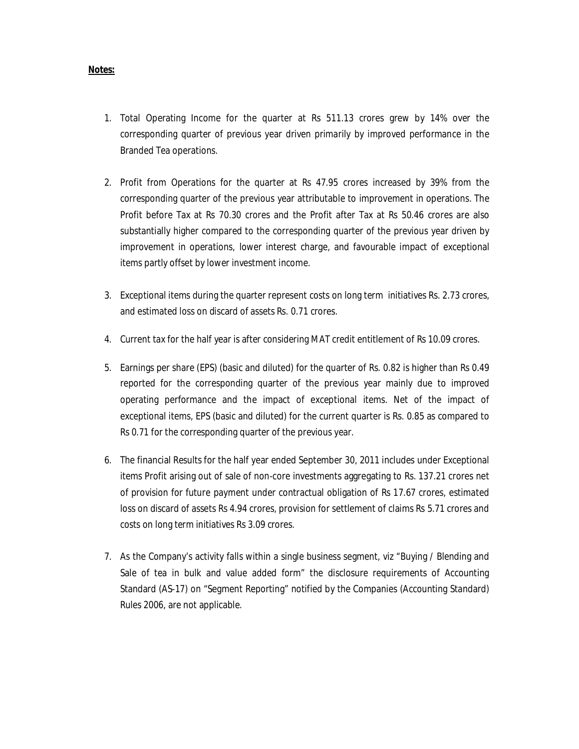## **Notes:**

- 1. Total Operating Income for the quarter at Rs 511.13 crores grew by 14% over the corresponding quarter of previous year driven primarily by improved performance in the Branded Tea operations.
- 2. Profit from Operations for the quarter at Rs 47.95 crores increased by 39% from the corresponding quarter of the previous year attributable to improvement in operations. The Profit before Tax at Rs 70.30 crores and the Profit after Tax at Rs 50.46 crores are also substantially higher compared to the corresponding quarter of the previous year driven by improvement in operations, lower interest charge, and favourable impact of exceptional items partly offset by lower investment income.
- 3. Exceptional items during the quarter represent costs on long term initiatives Rs. 2.73 crores, and estimated loss on discard of assets Rs. 0.71 crores.
- 4. Current tax for the half year is after considering MAT credit entitlement of Rs 10.09 crores.
- 5. Earnings per share (EPS) (basic and diluted) for the quarter of Rs. 0.82 is higher than Rs 0.49 reported for the corresponding quarter of the previous year mainly due to improved operating performance and the impact of exceptional items. Net of the impact of exceptional items, EPS (basic and diluted) for the current quarter is Rs. 0.85 as compared to Rs 0.71 for the corresponding quarter of the previous year.
- 6. The financial Results for the half year ended September 30, 2011 includes under Exceptional items Profit arising out of sale of non-core investments aggregating to Rs. 137.21 crores net of provision for future payment under contractual obligation of Rs 17.67 crores, estimated loss on discard of assets Rs 4.94 crores, provision for settlement of claims Rs 5.71 crores and costs on long term initiatives Rs 3.09 crores.
- 7. As the Company's activity falls within a single business segment, viz "Buying / Blending and Sale of tea in bulk and value added form" the disclosure requirements of Accounting Standard (AS-17) on "Segment Reporting" notified by the Companies (Accounting Standard) Rules 2006, are not applicable.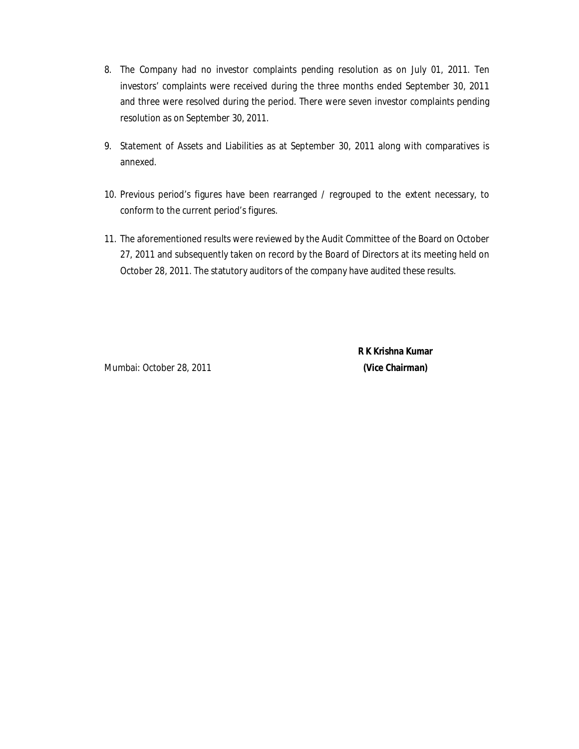- 8. The Company had no investor complaints pending resolution as on July 01, 2011. Ten investors' complaints were received during the three months ended September 30, 2011 and three were resolved during the period. There were seven investor complaints pending resolution as on September 30, 2011.
- 9. Statement of Assets and Liabilities as at September 30, 2011 along with comparatives is annexed.
- 10. Previous period's figures have been rearranged / regrouped to the extent necessary, to conform to the current period's figures.
- 11. The aforementioned results were reviewed by the Audit Committee of the Board on October 27, 2011 and subsequently taken on record by the Board of Directors at its meeting held on October 28, 2011. The statutory auditors of the company have audited these results.

Mumbai: October 28, 2011 **(Vice Chairman)**

 **R K Krishna Kumar**